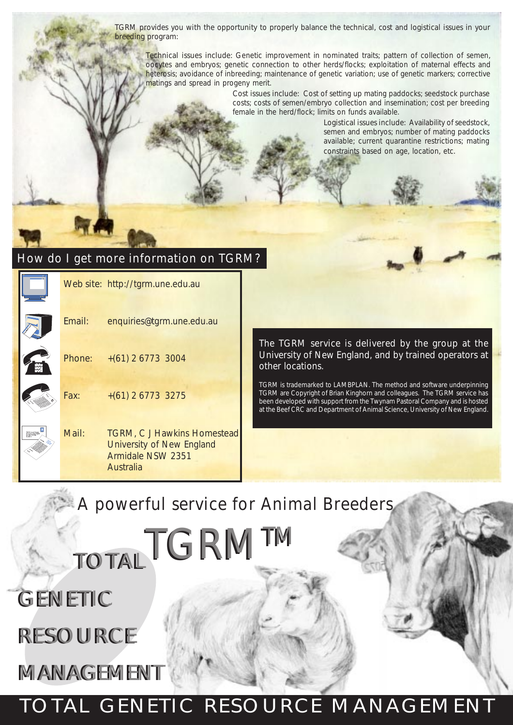TGRM provides you with the opportunity to properly balance the technical, cost and logistical issues in your breeding program:

Technical issues include: Genetic improvement in nominated traits; pattern of collection of semen, oocytes and embryos; genetic connection to other herds/flocks; exploitation of maternal effects and heterosis; avoidance of inbreeding; maintenance of genetic variation; use of genetic markers; corrective matings and spread in progeny merit.

> Cost issues include: Cost of setting up mating paddocks; seedstock purchase costs; costs of semen/embryo collection and insemination; cost per breeding female in the herd/flock; limits on funds available.

> > Logistical issues include: Availability of seedstock, semen and embryos; number of mating paddocks available; current quarantine restrictions; mating constraints based on age, location, etc.

### How do I get more information on TGRM?

Web site: http://tgrm.une.edu.au Email: enquiries@tgrm.une.edu.au Phone: +(61) 2 6773 3004 Fax: +(61) 2 6773 3275 Mail: TGRM, C J Hawkins Homestead University of New England Armidale NSW 2351 Australia support@tgrm.com.au  $\mathscr{E}_{\mathscr{E}}$ <sup>I</sup> am interested in finding out more about.  $\diagup$ 45c John Smith 1 2 3 6 7 8 9

The TGRM service is delivered by the group at the University of New England, and by trained operators at other locations.

TGRM is trademarked to LAMBPLAN. The method and software underpinning TGRM are Copyright of Brian Kinghorn and colleagues. The TGRM service has been developed with support from the Twynam Pastoral Company and is hosted at the Beef CRC and Department of Animal Science, University of New England.

### A powerful service for Animal Breeders

TOTAL TGRMTM

GENETIC GENETIC

# RESOURCE RESOURCE

MANAGEMENT MANAGEMENT

## TOTAL GENETIC RESOURCE MANAGEMENT